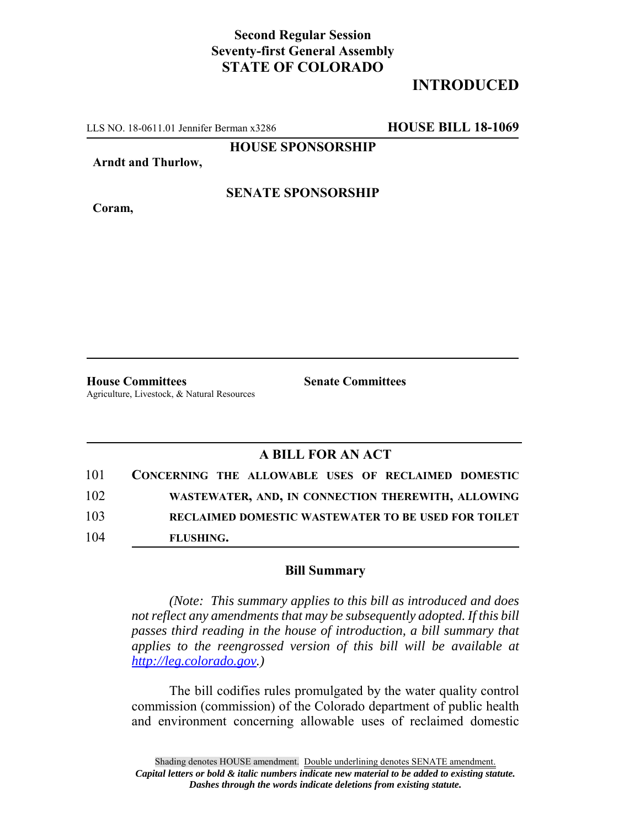## **Second Regular Session Seventy-first General Assembly STATE OF COLORADO**

# **INTRODUCED**

LLS NO. 18-0611.01 Jennifer Berman x3286 **HOUSE BILL 18-1069**

**HOUSE SPONSORSHIP**

**Arndt and Thurlow,**

**Coram,**

### **SENATE SPONSORSHIP**

**House Committees Senate Committees** Agriculture, Livestock, & Natural Resources

## **A BILL FOR AN ACT**

| 101 | CONCERNING THE ALLOWABLE USES OF RECLAIMED DOMESTIC        |
|-----|------------------------------------------------------------|
| 102 | WASTEWATER, AND, IN CONNECTION THEREWITH, ALLOWING         |
| 103 | <b>RECLAIMED DOMESTIC WASTEWATER TO BE USED FOR TOILET</b> |
| 104 | FLUSHING.                                                  |

#### **Bill Summary**

*(Note: This summary applies to this bill as introduced and does not reflect any amendments that may be subsequently adopted. If this bill passes third reading in the house of introduction, a bill summary that applies to the reengrossed version of this bill will be available at http://leg.colorado.gov.)*

The bill codifies rules promulgated by the water quality control commission (commission) of the Colorado department of public health and environment concerning allowable uses of reclaimed domestic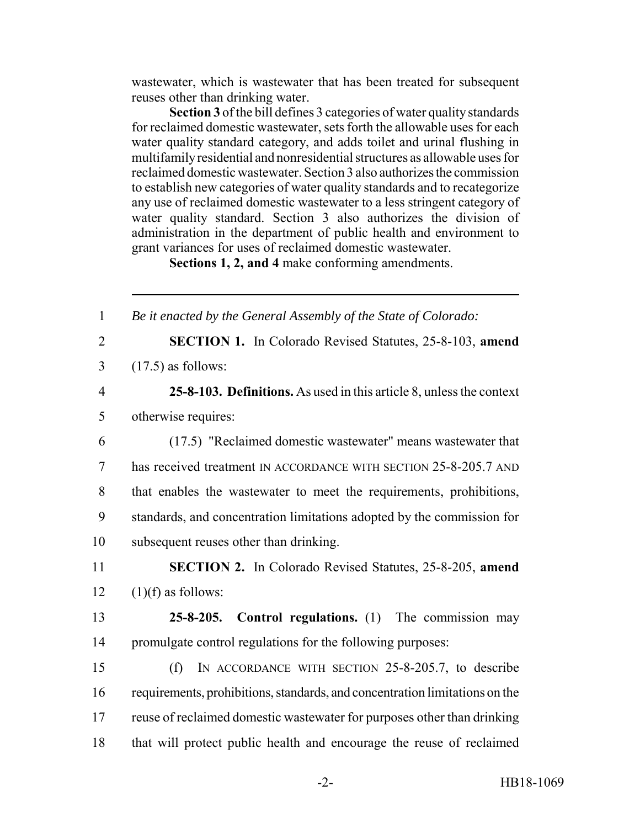wastewater, which is wastewater that has been treated for subsequent reuses other than drinking water.

**Section 3** of the bill defines 3 categories of water quality standards for reclaimed domestic wastewater, sets forth the allowable uses for each water quality standard category, and adds toilet and urinal flushing in multifamily residential and nonresidential structures as allowable uses for reclaimed domestic wastewater. Section 3 also authorizes the commission to establish new categories of water quality standards and to recategorize any use of reclaimed domestic wastewater to a less stringent category of water quality standard. Section 3 also authorizes the division of administration in the department of public health and environment to grant variances for uses of reclaimed domestic wastewater.

**Sections 1, 2, and 4** make conforming amendments.

| $\mathbf{1}$   | Be it enacted by the General Assembly of the State of Colorado:             |
|----------------|-----------------------------------------------------------------------------|
| $\overline{2}$ | <b>SECTION 1.</b> In Colorado Revised Statutes, 25-8-103, amend             |
| $\overline{3}$ | $(17.5)$ as follows:                                                        |
| $\overline{4}$ | 25-8-103. Definitions. As used in this article 8, unless the context        |
| 5              | otherwise requires:                                                         |
| 6              | (17.5) "Reclaimed domestic wastewater" means wastewater that                |
| 7              | has received treatment IN ACCORDANCE WITH SECTION 25-8-205.7 AND            |
| 8              | that enables the wastewater to meet the requirements, prohibitions,         |
| 9              | standards, and concentration limitations adopted by the commission for      |
| 10             | subsequent reuses other than drinking.                                      |
| 11             | <b>SECTION 2.</b> In Colorado Revised Statutes, 25-8-205, amend             |
| 12             | $(1)(f)$ as follows:                                                        |
| 13             | <b>Control regulations.</b> (1) The commission may<br>$25 - 8 - 205$ .      |
| 14             | promulgate control regulations for the following purposes:                  |
| 15             | IN ACCORDANCE WITH SECTION 25-8-205.7, to describe<br>(f)                   |
| 16             | requirements, prohibitions, standards, and concentration limitations on the |
| 17             | reuse of reclaimed domestic was tewater for purposes other than drinking    |
| 18             | that will protect public health and encourage the reuse of reclaimed        |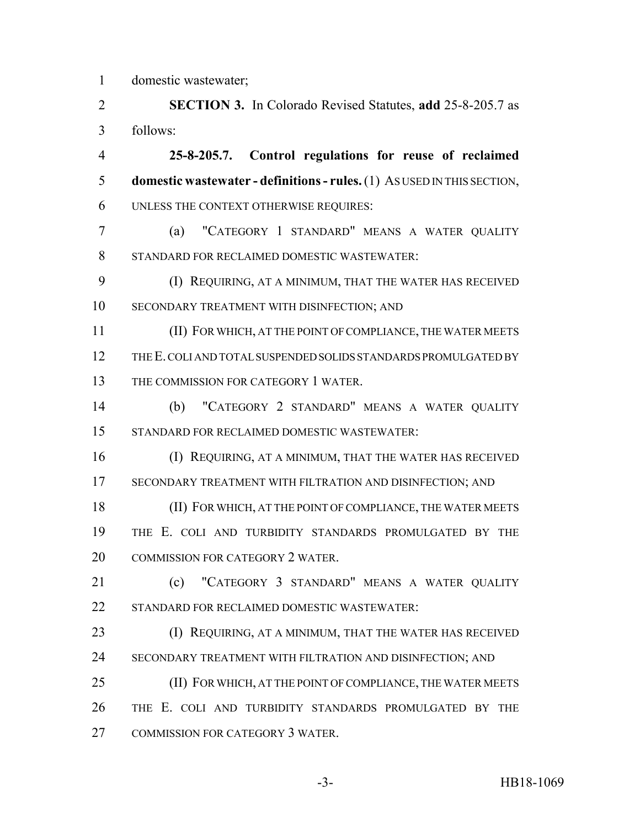domestic wastewater;

 **SECTION 3.** In Colorado Revised Statutes, **add** 25-8-205.7 as follows:

 **25-8-205.7. Control regulations for reuse of reclaimed domestic wastewater - definitions - rules.** (1) AS USED IN THIS SECTION, UNLESS THE CONTEXT OTHERWISE REQUIRES:

 (a) "CATEGORY 1 STANDARD" MEANS A WATER QUALITY STANDARD FOR RECLAIMED DOMESTIC WASTEWATER:

 (I) REQUIRING, AT A MINIMUM, THAT THE WATER HAS RECEIVED SECONDARY TREATMENT WITH DISINFECTION; AND

 (II) FOR WHICH, AT THE POINT OF COMPLIANCE, THE WATER MEETS THE E. COLI AND TOTAL SUSPENDED SOLIDS STANDARDS PROMULGATED BY THE COMMISSION FOR CATEGORY 1 WATER.

 (b) "CATEGORY 2 STANDARD" MEANS A WATER QUALITY STANDARD FOR RECLAIMED DOMESTIC WASTEWATER:

 (I) REQUIRING, AT A MINIMUM, THAT THE WATER HAS RECEIVED SECONDARY TREATMENT WITH FILTRATION AND DISINFECTION; AND

 (II) FOR WHICH, AT THE POINT OF COMPLIANCE, THE WATER MEETS THE E. COLI AND TURBIDITY STANDARDS PROMULGATED BY THE COMMISSION FOR CATEGORY 2 WATER.

**(c)** "CATEGORY 3 STANDARD" MEANS A WATER OUALITY STANDARD FOR RECLAIMED DOMESTIC WASTEWATER:

**(I) REQUIRING, AT A MINIMUM, THAT THE WATER HAS RECEIVED** SECONDARY TREATMENT WITH FILTRATION AND DISINFECTION; AND

 (II) FOR WHICH, AT THE POINT OF COMPLIANCE, THE WATER MEETS THE E. COLI AND TURBIDITY STANDARDS PROMULGATED BY THE COMMISSION FOR CATEGORY 3 WATER.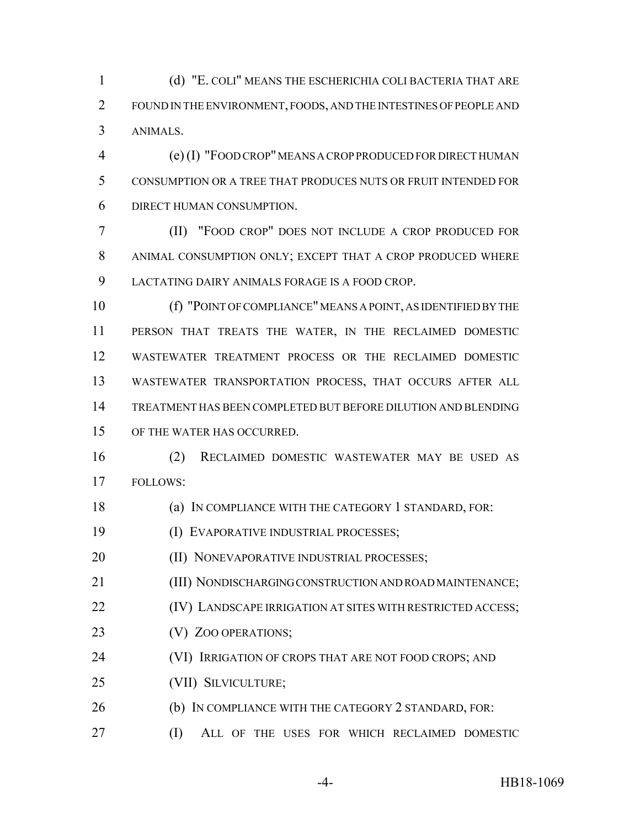(d) "E. COLI" MEANS THE ESCHERICHIA COLI BACTERIA THAT ARE FOUND IN THE ENVIRONMENT, FOODS, AND THE INTESTINES OF PEOPLE AND ANIMALS.

 (e) (I) "FOOD CROP" MEANS A CROP PRODUCED FOR DIRECT HUMAN CONSUMPTION OR A TREE THAT PRODUCES NUTS OR FRUIT INTENDED FOR DIRECT HUMAN CONSUMPTION.

 (II) "FOOD CROP" DOES NOT INCLUDE A CROP PRODUCED FOR ANIMAL CONSUMPTION ONLY; EXCEPT THAT A CROP PRODUCED WHERE LACTATING DAIRY ANIMALS FORAGE IS A FOOD CROP.

 (f) "POINT OF COMPLIANCE" MEANS A POINT, AS IDENTIFIED BY THE PERSON THAT TREATS THE WATER, IN THE RECLAIMED DOMESTIC WASTEWATER TREATMENT PROCESS OR THE RECLAIMED DOMESTIC WASTEWATER TRANSPORTATION PROCESS, THAT OCCURS AFTER ALL TREATMENT HAS BEEN COMPLETED BUT BEFORE DILUTION AND BLENDING OF THE WATER HAS OCCURRED.

 (2) RECLAIMED DOMESTIC WASTEWATER MAY BE USED AS FOLLOWS:

(a) IN COMPLIANCE WITH THE CATEGORY 1 STANDARD, FOR:

(I) EVAPORATIVE INDUSTRIAL PROCESSES;

**(II) NONEVAPORATIVE INDUSTRIAL PROCESSES;** 

(III) NONDISCHARGING CONSTRUCTION AND ROAD MAINTENANCE;

**(IV)** LANDSCAPE IRRIGATION AT SITES WITH RESTRICTED ACCESS;

23 (V) ZOO OPERATIONS;

**(VI) IRRIGATION OF CROPS THAT ARE NOT FOOD CROPS; AND** 

(VII) SILVICULTURE;

26 (b) IN COMPLIANCE WITH THE CATEGORY 2 STANDARD, FOR:

(I) ALL OF THE USES FOR WHICH RECLAIMED DOMESTIC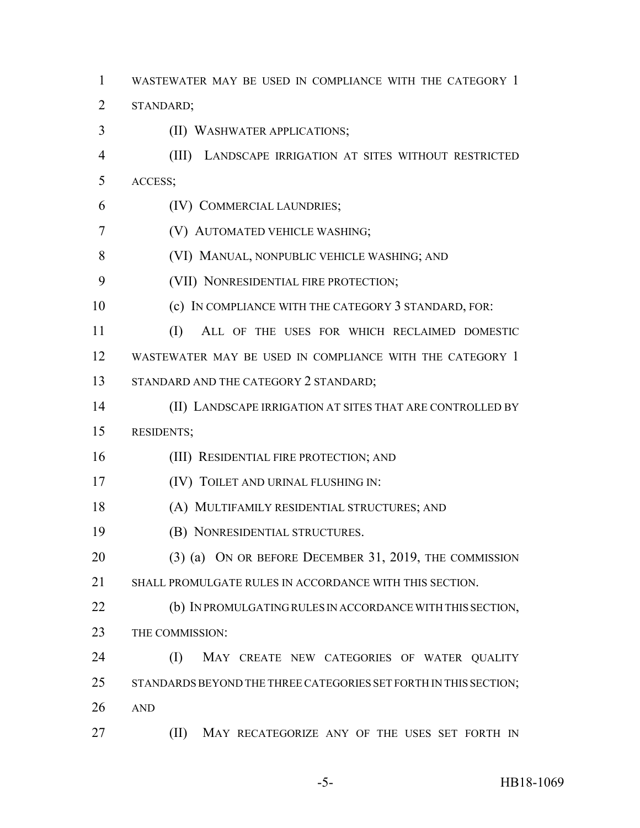WASTEWATER MAY BE USED IN COMPLIANCE WITH THE CATEGORY 1

STANDARD;

- (II) WASHWATER APPLICATIONS;
- (III) LANDSCAPE IRRIGATION AT SITES WITHOUT RESTRICTED ACCESS;
- (IV) COMMERCIAL LAUNDRIES;
- (V) AUTOMATED VEHICLE WASHING;
- (VI) MANUAL, NONPUBLIC VEHICLE WASHING; AND
- (VII) NONRESIDENTIAL FIRE PROTECTION;
- (c) IN COMPLIANCE WITH THE CATEGORY 3 STANDARD, FOR:

 (I) ALL OF THE USES FOR WHICH RECLAIMED DOMESTIC WASTEWATER MAY BE USED IN COMPLIANCE WITH THE CATEGORY 1 13 STANDARD AND THE CATEGORY 2 STANDARD;

- 
- (II) LANDSCAPE IRRIGATION AT SITES THAT ARE CONTROLLED BY RESIDENTS;
- (III) RESIDENTIAL FIRE PROTECTION; AND
- **(IV) TOILET AND URINAL FLUSHING IN:**
- (A) MULTIFAMILY RESIDENTIAL STRUCTURES; AND
- (B) NONRESIDENTIAL STRUCTURES.
- (3) (a) ON OR BEFORE DECEMBER 31, 2019, THE COMMISSION
- SHALL PROMULGATE RULES IN ACCORDANCE WITH THIS SECTION.
- **(b) IN PROMULGATING RULES IN ACCORDANCE WITH THIS SECTION,** 23 THE COMMISSION:

24 (I) MAY CREATE NEW CATEGORIES OF WATER QUALITY 25 STANDARDS BEYOND THE THREE CATEGORIES SET FORTH IN THIS SECTION; AND

**(II)** MAY RECATEGORIZE ANY OF THE USES SET FORTH IN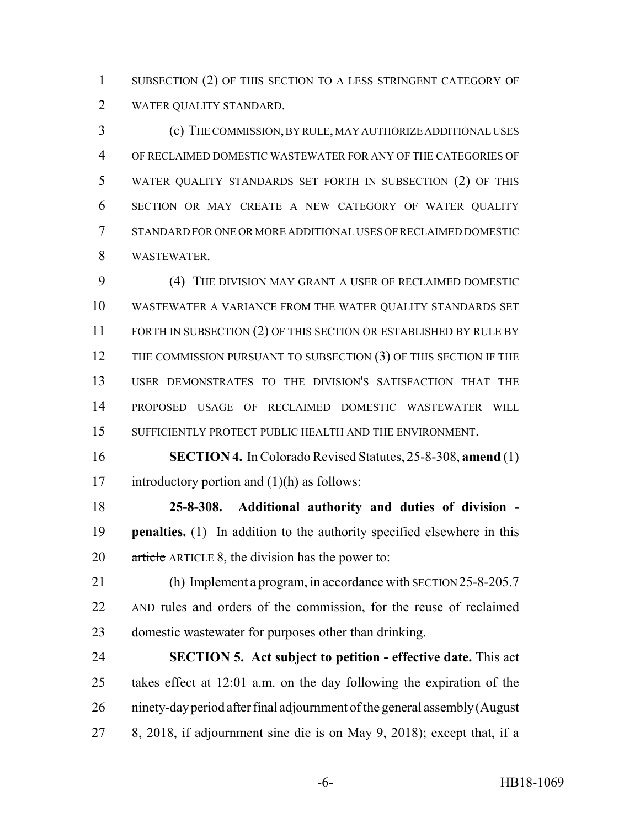1 SUBSECTION (2) OF THIS SECTION TO A LESS STRINGENT CATEGORY OF WATER QUALITY STANDARD.

 (c) THE COMMISSION, BY RULE, MAY AUTHORIZE ADDITIONAL USES OF RECLAIMED DOMESTIC WASTEWATER FOR ANY OF THE CATEGORIES OF WATER QUALITY STANDARDS SET FORTH IN SUBSECTION (2) OF THIS SECTION OR MAY CREATE A NEW CATEGORY OF WATER QUALITY STANDARD FOR ONE OR MORE ADDITIONAL USES OF RECLAIMED DOMESTIC WASTEWATER.

 (4) THE DIVISION MAY GRANT A USER OF RECLAIMED DOMESTIC WASTEWATER A VARIANCE FROM THE WATER QUALITY STANDARDS SET 11 FORTH IN SUBSECTION (2) OF THIS SECTION OR ESTABLISHED BY RULE BY 12 THE COMMISSION PURSUANT TO SUBSECTION (3) OF THIS SECTION IF THE USER DEMONSTRATES TO THE DIVISION'S SATISFACTION THAT THE PROPOSED USAGE OF RECLAIMED DOMESTIC WASTEWATER WILL SUFFICIENTLY PROTECT PUBLIC HEALTH AND THE ENVIRONMENT.

 **SECTION 4.** In Colorado Revised Statutes, 25-8-308, **amend** (1) introductory portion and (1)(h) as follows:

 **25-8-308. Additional authority and duties of division - penalties.** (1) In addition to the authority specified elsewhere in this 20 article ARTICLE 8, the division has the power to:

 (h) Implement a program, in accordance with SECTION 25-8-205.7 AND rules and orders of the commission, for the reuse of reclaimed domestic wastewater for purposes other than drinking.

 **SECTION 5. Act subject to petition - effective date.** This act takes effect at 12:01 a.m. on the day following the expiration of the ninety-day period after final adjournment of the general assembly (August 8, 2018, if adjournment sine die is on May 9, 2018); except that, if a